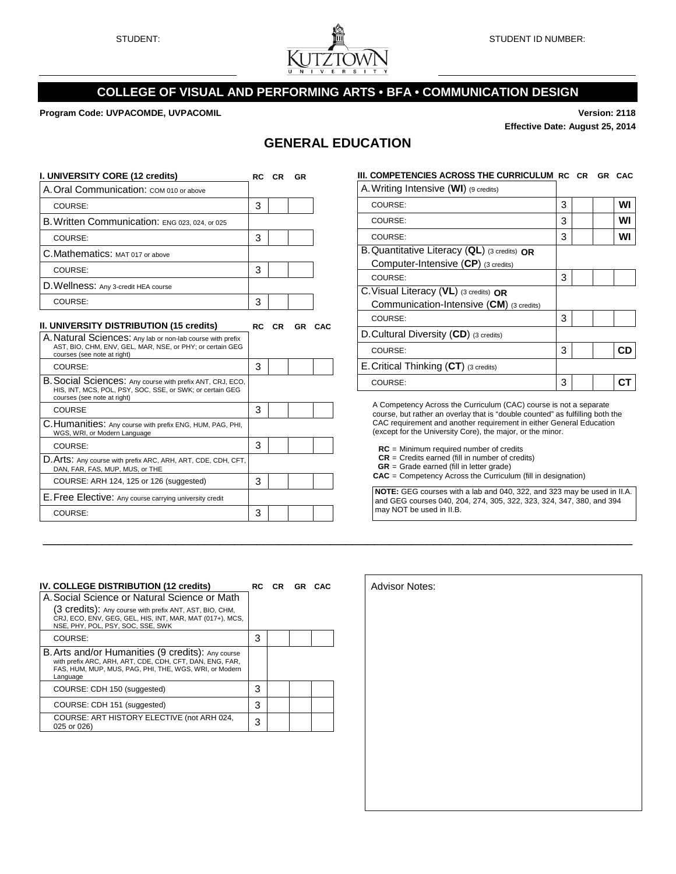

## **COLLEGE OF VISUAL AND PERFORMING ARTS • BFA • COMMUNICATION DESIGN**

**Program Code: UVPACOMDE, UVPACOMIL Version: 2118**

**Effective Date: August 25, 2014**

# **GENERAL EDUCATION**

| I. UNIVERSITY CORE (12 credits)                                                                                                                       |           | RC CR     | <b>GR</b> |        | III. COMPETENCIES ACROSS THE CURRICULUM RC CR GR CAC                                                                                               |   |  |           |
|-------------------------------------------------------------------------------------------------------------------------------------------------------|-----------|-----------|-----------|--------|----------------------------------------------------------------------------------------------------------------------------------------------------|---|--|-----------|
| A. Oral Communication: COM 010 or above                                                                                                               |           |           |           |        | A. Writing Intensive (WI) (9 credits)                                                                                                              |   |  |           |
| COURSE:                                                                                                                                               | 3         |           |           |        | COURSE:                                                                                                                                            | 3 |  | WI        |
| B. Written Communication: ENG 023, 024, or 025                                                                                                        |           |           |           |        | COURSE:                                                                                                                                            | 3 |  | WI        |
| COURSE:                                                                                                                                               | 3         |           |           |        | COURSE:                                                                                                                                            | 3 |  | WI        |
| C. Mathematics: MAT 017 or above                                                                                                                      |           |           |           |        | B. Quantitative Literacy (QL) (3 credits) OR                                                                                                       |   |  |           |
| COURSE:                                                                                                                                               | 3         |           |           |        | Computer-Intensive (CP) (3 credits)                                                                                                                |   |  |           |
| D. Wellness: Any 3-credit HEA course                                                                                                                  |           |           |           |        | COURSE:                                                                                                                                            | 3 |  |           |
| COURSE:                                                                                                                                               | 3         |           |           |        | C. Visual Literacy (VL) (3 credits) OR<br>Communication-Intensive (CM) (3 credits)                                                                 |   |  |           |
|                                                                                                                                                       |           |           |           |        | COURSE:                                                                                                                                            | 3 |  |           |
| II. UNIVERSITY DISTRIBUTION (15 credits)<br>A. Natural Sciences: Any lab or non-lab course with prefix                                                | <b>RC</b> | <b>CR</b> |           | GR CAC | D. Cultural Diversity (CD) (3 credits)                                                                                                             |   |  |           |
| AST, BIO, CHM, ENV, GEL, MAR, NSE, or PHY; or certain GEG<br>courses (see note at right)                                                              |           |           |           |        | COURSE:                                                                                                                                            | 3 |  | <b>CD</b> |
| COURSE:                                                                                                                                               | 3         |           |           |        | E. Critical Thinking (CT) (3 credits)                                                                                                              |   |  |           |
| B. Social Sciences: Any course with prefix ANT, CRJ, ECO,<br>HIS, INT, MCS, POL, PSY, SOC, SSE, or SWK; or certain GEG<br>courses (see note at right) |           |           |           |        | COURSE:                                                                                                                                            | 3 |  | <b>CT</b> |
| <b>COURSE</b>                                                                                                                                         | 3         |           |           |        | A Competency Across the Curriculum (CAC) course is not a separate<br>course, but rather an overlay that is "double counted" as fulfilling both the |   |  |           |
| C. Humanities: Any course with prefix ENG, HUM, PAG, PHI,<br>WGS, WRI, or Modern Language                                                             |           |           |           |        | CAC requirement and another requirement in either General Education<br>(except for the University Core), the major, or the minor.                  |   |  |           |
| COURSE:                                                                                                                                               | 3         |           |           |        | $RC =$ Minimum required number of credits                                                                                                          |   |  |           |
| D. Arts: Any course with prefix ARC, ARH, ART, CDE, CDH, CFT,<br>DAN, FAR, FAS, MUP, MUS, or THE                                                      |           |           |           |        | $CR = C$ redits earned (fill in number of credits)<br>$GR = Grade$ earned (fill in letter grade)                                                   |   |  |           |
| COURSE: ARH 124, 125 or 126 (suggested)                                                                                                               | 3         |           |           |        | <b>CAC</b> = Competency Across the Curriculum (fill in designation)                                                                                |   |  |           |
| E. Free Elective: Any course carrying university credit                                                                                               |           |           |           |        | NOTE: GEG courses with a lab and 040, 322, and 323 may be used in II.A.<br>and GEG courses 040, 204, 274, 305, 322, 323, 324, 347, 380, and 394    |   |  |           |
| COURSE:                                                                                                                                               | 3         |           |           |        | may NOT be used in II.B.                                                                                                                           |   |  |           |

| IV. COLLEGE DISTRIBUTION (12 credits)                                                                                                                                               |   | RC CR | <b>GR CAC</b> | Advisor Notes: |
|-------------------------------------------------------------------------------------------------------------------------------------------------------------------------------------|---|-------|---------------|----------------|
| A. Social Science or Natural Science or Math                                                                                                                                        |   |       |               |                |
| (3 Credits): Any course with prefix ANT, AST, BIO, CHM,<br>CRJ, ECO, ENV, GEG, GEL, HIS, INT, MAR, MAT (017+), MCS,<br>NSE, PHY, POL, PSY, SOC, SSE, SWK                            |   |       |               |                |
| COURSE:                                                                                                                                                                             | 3 |       |               |                |
| B. Arts and/or Humanities (9 credits): Any course<br>with prefix ARC, ARH, ART, CDE, CDH, CFT, DAN, ENG, FAR,<br>FAS, HUM, MUP, MUS, PAG, PHI, THE, WGS, WRI, or Modern<br>Language |   |       |               |                |
| COURSE: CDH 150 (suggested)                                                                                                                                                         | 3 |       |               |                |
| COURSE: CDH 151 (suggested)                                                                                                                                                         | 3 |       |               |                |
| COURSE: ART HISTORY ELECTIVE (not ARH 024,<br>025 or 026)                                                                                                                           | 3 |       |               |                |

| <b>Advisor Notes:</b> |  |  |
|-----------------------|--|--|
|                       |  |  |
|                       |  |  |
|                       |  |  |
|                       |  |  |
|                       |  |  |
|                       |  |  |
|                       |  |  |
|                       |  |  |
|                       |  |  |
|                       |  |  |
|                       |  |  |
|                       |  |  |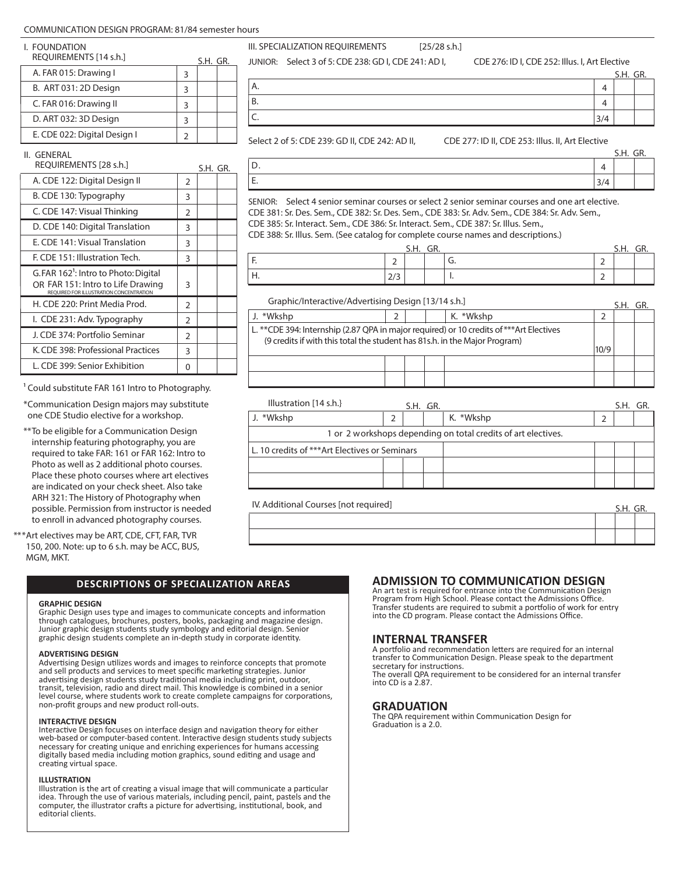#### COMMUNICATION DESIGN PROGRAM: 81/84 semester hours

| I. FOUNDATION<br>REOUIREMENTS [14 s.h.] |   | S.H. GR. |  |
|-----------------------------------------|---|----------|--|
| A. FAR 015: Drawing I                   | З |          |  |
| B. ART 031: 2D Design                   | З |          |  |
| C. FAR 016: Drawing II                  | 3 |          |  |
| D. ART 032: 3D Design                   | З |          |  |
| E. CDE 022: Digital Design I            |   |          |  |
|                                         |   |          |  |

A. B.

III. SPECIALIZATION REQUIREMENTS [25/28 s.h.]

JUNIOR: Select 3 of 5: CDE 238: GD I, CDE 241: AD I, CDE 276: ID I, CDE 252: Illus. I, Art Elective

4 4  $3/4$ S.H. GR.

S.H. GR.

4 3/4

S.H. GF

S.H. GR.

II. GENERAL

| REOUIREMENTS [28 s.h.]                                                                                                           |                | S.H. GR. |  |
|----------------------------------------------------------------------------------------------------------------------------------|----------------|----------|--|
| A. CDE 122: Digital Design II                                                                                                    | $\overline{2}$ |          |  |
| B. CDE 130: Typography                                                                                                           | 3              |          |  |
| C. CDE 147: Visual Thinking                                                                                                      | 2              |          |  |
| D. CDE 140: Digital Translation                                                                                                  | 3              |          |  |
| E. CDE 141: Visual Translation                                                                                                   | 3              |          |  |
| F. CDE 151: Illustration Tech.                                                                                                   | 3              |          |  |
| G.FAR 162 <sup>1</sup> : Intro to Photo: Digital<br>OR FAR 151: Intro to Life Drawing<br>REQUIRED FOR ILLUSTRATION CONCENTRATION | 3              |          |  |
| H. CDE 220: Print Media Prod.                                                                                                    | $\overline{2}$ |          |  |
| I. CDE 231: Adv. Typography                                                                                                      | 2              |          |  |
| J. CDE 374: Portfolio Seminar                                                                                                    | $\mathcal{P}$  |          |  |
| K. CDE 398: Professional Practices                                                                                               | 3              |          |  |
| L. CDE 399: Senior Exhibition                                                                                                    | 0              |          |  |

Select 2 of 5: CDE 239: GD II, CDE 242: AD II, CDE 277: ID II, CDE 253: Illus. II, Art Elective

| ۰. |
|----|
|    |

C.

SENIOR: Select 4 senior seminar courses or select 2 senior seminar courses and one art elective. CDE 381: Sr. Des. Sem., CDE 382: Sr. Des. Sem., CDE 383: Sr. Adv. Sem., CDE 384: Sr. Adv. Sem., CDE 385: Sr. Interact. Sem., CDE 386: Sr. Interact. Sem., CDE 387: Sr. Illus. Sem., CDE 388: Sr. Illus. Sem. (See catalog for complete course names and descriptions.)

|        |        | S.H. | GR. |    | S.H. | un. |
|--------|--------|------|-----|----|------|-----|
| . .    | ∼      |      |     | J. |      |     |
| _<br>. | $\sim$ |      |     |    |      |     |

#### Graphic/Interactive/Advertising Design [13/14 s.h.]

| J. *Wkshp                                                                                                                                                                     |  |  |  | K. *Wkshp |  |  |  |
|-------------------------------------------------------------------------------------------------------------------------------------------------------------------------------|--|--|--|-----------|--|--|--|
| L. **CDE 394: Internship (2.87 QPA in major required) or 10 credits of ***Art Electives<br>(9 credits if with this total the student has 81s.h. in the Major Program)<br>10/9 |  |  |  |           |  |  |  |
|                                                                                                                                                                               |  |  |  |           |  |  |  |

| Illustration [14 s.h.]                                        |  |  | S.H. GR. |           |  | S.H. GR. |  |
|---------------------------------------------------------------|--|--|----------|-----------|--|----------|--|
| J. *Wkshp                                                     |  |  |          | K. *Wkshp |  |          |  |
| 1 or 2 workshops depending on total credits of art electives. |  |  |          |           |  |          |  |
| L. 10 credits of ***Art Electives or Seminars                 |  |  |          |           |  |          |  |
|                                                               |  |  |          |           |  |          |  |
|                                                               |  |  |          |           |  |          |  |
|                                                               |  |  |          |           |  |          |  |

IV. Additional Courses [not required]

<sup>1</sup> Could substitute FAR 161 Intro to Photography. \*Communication Design majors may substitute

one CDE Studio elective for a workshop.

\*\*To be eligible for a Communication Design internship featuring photography, you are required to take FAR: 161 or FAR 162: Intro to Photo as well as 2 additional photo courses. Place these photo courses where art electives are indicated on your check sheet. Also take ARH 321: The History of Photography when possible. Permission from instructor is needed to enroll in advanced photography courses.

\*\*\*Art electives may be ART, CDE, CFT, FAR, TVR 150, 200. Note: up to 6 s.h. may be ACC, BUS, MGM, MKT.

#### **GRAPHIC DESIGN**

Graphic Design uses type and images to communicate concepts and information through catalogues, brochures, posters, books, packaging and magazine design. Junior graphic design students study symbology and editorial design. Senior graphic design students complete an in-depth study in corporate identity.

#### **ADVERTISING DESIGN**

Advertising Design utilizes words and images to reinforce concepts that promote and sell products and services to meet specific marketing strategies. Junior advertising design students study traditional media including print, outdoor, transit, television, radio and direct mail. This knowledge is combined in a senior level course, where students work to create complete campaigns for corporations, non-profit groups and new product roll-outs.

#### **INTERACTIVE DESIGN**

Interactive Design focuses on interface design and navigation theory for either web-based or computer-based content. Interactive design students study subjects necessary for creating unique and enriching experiences for humans accessing digitally based media including motion graphics, sound editing and usage and creating virtual space.

#### **ILLUSTRATION**

Illustration is the art of creating a visual image that will communicate a particular idea. Through the use of various materials, including pencil, paint, pastels and the computer, the illustrator crafts a picture for advertising, institutional, book, and editorial clients.

## **DESCRIPTIONS OF SPECIALIZATION AREAS ADMISSION TO COMMUNICATION DESIGN**

An art test is required for entrance into the Communication Design Program from High School. Please contact the Admissions Office. Transfer students are required to submit a portfolio of work for entry into the CD program. Please contact the Admissions Office.

#### **INTERNAL TRANSFER**

A portfolio and recommendation letters are required for an internal transfer to Communication Design. Please speak to the department secretary for instructions. The overall QPA requirement to be considered for an internal transfer into CD is a 2.87.

#### **GRADUATION**

The QPA requirement within Communication Design for Graduation is a 2.0.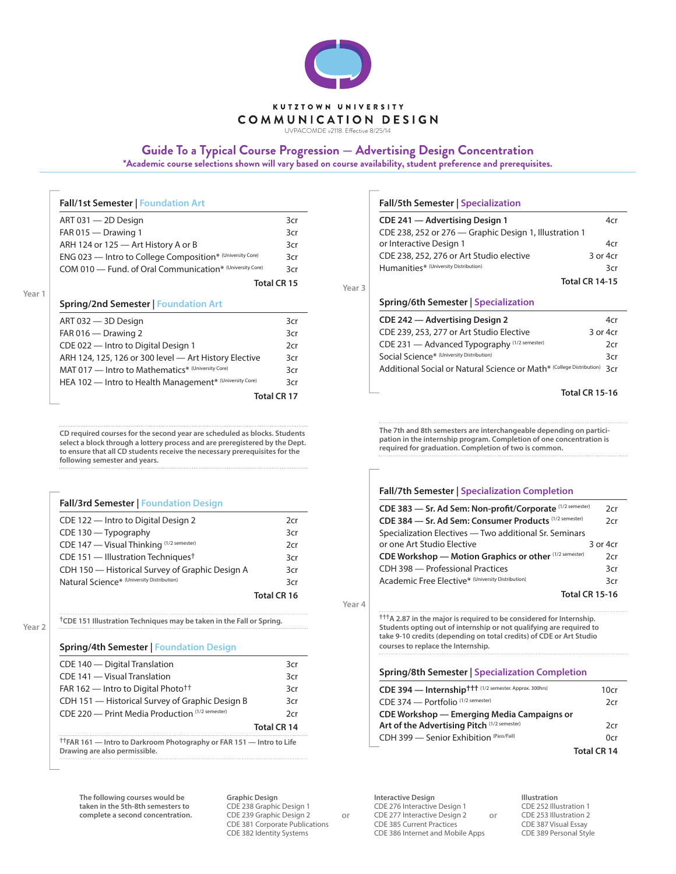

UVPACOMDE v2118. Effective 8/25/14

## **Guide To a Typical Course Progression — Advertising Design Concentration**

**\*Academic course selections shown will vary based on course availability, student preference and prerequisites.**

| ART 031 - 2D Design                                       | 3cr                |
|-----------------------------------------------------------|--------------------|
| FAR 015 - Drawing 1                                       | 3cr                |
| ARH 124 or 125 - Art History A or B                       | 3cr                |
| ENG 023 - Intro to College Composition* (University Core) | 3cr                |
| COM 010 - Fund. of Oral Communication* (University Core)  | 3cr                |
|                                                           | <b>Total CR 15</b> |

| ART 032 — 3D Design                                     | 3cr                |
|---------------------------------------------------------|--------------------|
| FAR 016 - Drawing 2                                     | 3cr                |
| CDE 022 - Intro to Digital Design 1                     | 2cr                |
| ARH 124, 125, 126 or 300 level - Art History Elective   | 3cr                |
| MAT 017 - Intro to Mathematics* (University Core)       | 3cr                |
| HEA 102 - Intro to Health Management* (University Core) | 3cr                |
|                                                         | <b>Total CR 17</b> |

**CD required courses for the second year are scheduled as blocks. Students select a block through a lottery process and are preregistered by the Dept. to ensure that all CD students receive the necessary prerequisites for the following semester and years.**

#### **Fall/3rd Semester | Foundation Design**

| CDE 122 - Intro to Digital Design 2              | 2cr         |
|--------------------------------------------------|-------------|
| CDE 130 - Typography                             | 3cr         |
| CDE 147 - Visual Thinking (1/2 semester)         | 2cr         |
| CDE 151 $-$ Illustration Techniques <sup>†</sup> | 3cr         |
| CDH 150 - Historical Survey of Graphic Design A  | 3cr         |
| Natural Science* (University Distribution)       | 3cr         |
|                                                  | Total CR 16 |

**Year 2**

**†CDE 151 Illustration Techniques may be taken in the Fall or Spring.**

#### **Spring/4th Semester | Foundation Design**

| $\text{trap}$ $\text{trap}$ $\text{trap}$ $\text{trap}$ $\text{trap}$ $\text{trap}$ $\text{trap}$ $\text{trap}$ $\text{trap}$ $\text{trap}$ $\text{trap}$ $\text{trap}$ $\text{trap}$ $\text{trap}$ $\text{trap}$ $\text{trap}$ $\text{trap}$ $\text{trap}$ $\text{trap}$ $\text{trap}$ $\text{trap}$ $\text{trap}$ $\text{trap}$ $\text{trap}$ $\text{tr$ |                    |
|------------------------------------------------------------------------------------------------------------------------------------------------------------------------------------------------------------------------------------------------------------------------------------------------------------------------------------------------------------|--------------------|
|                                                                                                                                                                                                                                                                                                                                                            | <b>Total CR 14</b> |
| CDE 220 - Print Media Production (1/2 semester)                                                                                                                                                                                                                                                                                                            | 2cr                |
| CDH 151 - Historical Survey of Graphic Design B                                                                                                                                                                                                                                                                                                            | 3cr                |
| FAR 162 — Intro to Digital Photo <sup>††</sup>                                                                                                                                                                                                                                                                                                             | 3cr                |
| CDE 141 - Visual Translation                                                                                                                                                                                                                                                                                                                               | 3cr                |
| CDE 140 - Digital Translation                                                                                                                                                                                                                                                                                                                              | 3cr                |

**††FAR 161 — Intro to Darkroom Photography or FAR 151 — Intro to Life Drawing are also permissible.**

**The following courses would be taken in the 5th-8th semesters to complete a second concentration.** **Graphic Design** CDE 238 Graphic Design 1 CDE 239 Graphic Design 2 CDE 381 Corporate Publications CDE 382 Identity Systems

**Fall/5th Semester | Specialization**

| CDE 241 - Advertising Design 1                         | 4cr                   |
|--------------------------------------------------------|-----------------------|
| CDE 238, 252 or 276 – Graphic Design 1, Illustration 1 |                       |
| or Interactive Design 1                                | 4cr                   |
| CDE 238, 252, 276 or Art Studio elective               | 3 or 4cr              |
| Humanities* (University Distribution)                  | 3cr                   |
|                                                        | <b>Total CR 14-15</b> |
|                                                        |                       |

#### **Spring/6th Semester | Specialization**

| CDE 242 - Advertising Design 2                                       | 4cr      |
|----------------------------------------------------------------------|----------|
| CDE 239, 253, 277 or Art Studio Elective                             | 3 or 4cr |
| CDE 231 - Advanced Typography (1/2 semester)                         | 2cr      |
| Social Science* (University Distribution)                            | 3cr      |
| Additional Social or Natural Science or Math* (College Distribution) | 3cr      |
|                                                                      |          |

#### **Total CR 15-16**

**The 7th and 8th semesters are interchangeable depending on participation in the internship program. Completion of one concentration is required for graduation. Completion of two is common.**

#### **Fall/7th Semester | Specialization Completion**

| CDE 383 - Sr. Ad Sem: Non-profit/Corporate (1/2 semester) | 2cr                   |
|-----------------------------------------------------------|-----------------------|
| CDE 384 - Sr. Ad Sem: Consumer Products (1/2 semester)    | 2cr                   |
| Specialization Electives - Two additional Sr. Seminars    |                       |
| or one Art Studio Elective                                | 3 or 4cr              |
| CDE Workshop — Motion Graphics or other (1/2 semester)    | 2cr                   |
| CDH 398 - Professional Practices                          | 3cr                   |
| Academic Free Elective* (University Distribution)         | 3cr                   |
|                                                           | <b>Total CR 15-16</b> |

**Year 4**

**†††A 2.87 in the major is required to be considered for Internship. Students opting out of internship or not qualifying are required to take 9-10 credits (depending on total credits) of CDE or Art Studio courses to replace the Internship.** 

#### **Spring/8th Semester | Specialization Completion**

| CDE 394 - Internship <sup>ttt (1/2</sup> semester. Approx. 300hrs) | 10cr               |  |
|--------------------------------------------------------------------|--------------------|--|
| CDE 374 - Portfolio <sup>(1/2 semester)</sup>                      | 2cr                |  |
| CDE Workshop — Emerging Media Campaigns or                         |                    |  |
| Art of the Advertising Pitch (1/2 semester)                        | 2cr                |  |
| CDH 399 - Senior Exhibition (Pass/Fail)                            | 0cr                |  |
|                                                                    | <b>Total CR 14</b> |  |

**Interactive Design** CDE 276 Interactive Design 1 CDE 277 Interactive Design 2 **or or** CDE 385 Current Practices CDE 386 Internet and Mobile Apps

**Illustration** CDE 252 Illustration 1 CDE 253 Illustration 2 CDE 387 Visual Essay CDE 389 Personal Style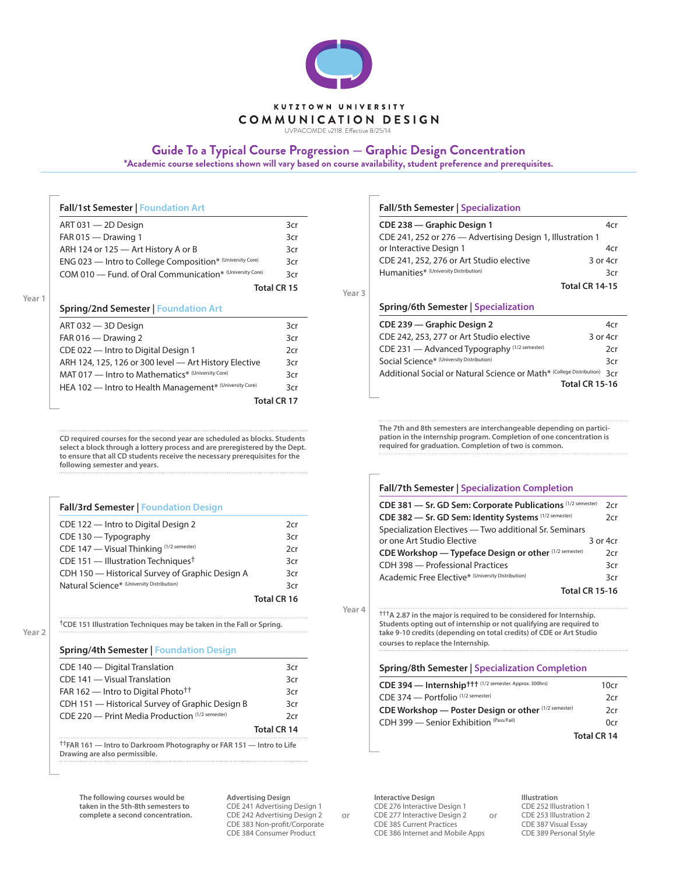

UVPACOMDE v2118. Effective 8/25/14

## **Guide To a Typical Course Progression — Graphic Design Concentration**

**\*Academic course selections shown will vary based on course availability, student preference and prerequisites.**

| <b>Fall/1st Semester   Foundation Art</b>                 |             |
|-----------------------------------------------------------|-------------|
| ART 031 - 2D Design                                       | 3cr         |
| FAR 015 $-$ Drawing 1                                     | 3cr         |
| ARH 124 or 125 - Art History A or B                       | 3cr         |
| ENG 023 - Intro to College Composition* (University Core) | 3cr         |
| COM 010 - Fund. of Oral Communication* (University Core)  | 3cr         |
|                                                           | Total CR 15 |
| <b>Spring/2nd Semester   Foundation Art</b>               |             |
| ART 032 - 3D Design                                       | 3cr         |
| FAR 016 $-$ Drawing 2                                     | 3cr         |
|                                                           |             |

| CDE 022 - Intro to Digital Design 1                     | 2cr |
|---------------------------------------------------------|-----|
| ARH 124, 125, 126 or 300 level - Art History Elective   | 3cr |
| MAT 017 - Intro to Mathematics* (University Core)       | 3cr |
| HEA 102 - Intro to Health Management* (University Core) | 3cr |
| Total CR 17                                             |     |

**CD required courses for the second year are scheduled as blocks. Students select a block through a lottery process and are preregistered by the Dept. to ensure that all CD students receive the necessary prerequisites for the following semester and years.**

#### **Fall/3rd Semester | Foundation Design**

| 2cr         |
|-------------|
| 3cr         |
| 2cr         |
| 3cr         |
| 3cr         |
| 3cr         |
| Total CR 16 |
|             |

**Year 2**

**†CDE 151 Illustration Techniques may be taken in the Fall or Spring.**

### **Spring/4th Semester | Foundation Design**

| CDE 140 - Digital Translation                                                                                    | 3cr                |
|------------------------------------------------------------------------------------------------------------------|--------------------|
| CDE 141 - Visual Translation                                                                                     | 3cr                |
| FAR 162 — Intro to Digital Photo <sup>††</sup>                                                                   | 3cr                |
| CDH 151 - Historical Survey of Graphic Design B                                                                  | 3cr                |
| CDE 220 - Print Media Production (1/2 semester)                                                                  | 2cr                |
|                                                                                                                  | <b>Total CR 14</b> |
| <sup>†</sup> FAR 161 – Intro to Darkroom Photography or FAR 151 – Intro to Life<br>Drawing are also permissible. |                    |

**The following courses would be taken in the 5th-8th semesters to complete a second concentration.** **Advertising Design** CDE 241 Advertising Design 1 CDE 242 Advertising Design 2 CDE 383 Non-profit/Corporate CDE 384 Consumer Product

**Fall/5th Semester | Specialization**

| CDE 238 - Graphic Design 1<br>CDE 241, 252 or 276 - Advertising Design 1, Illustration 1 |                       |
|------------------------------------------------------------------------------------------|-----------------------|
| or Interactive Design 1<br>CDE 241, 252, 276 or Art Studio elective                      | 4cr<br>3 or 4cr       |
| Humanities* (University Distribution)                                                    | 3cr                   |
|                                                                                          | <b>Total CR 14-15</b> |
| Spring/6th Semester   Specialization                                                     |                       |
| CDE 239 – Graphic Design 2                                                               | 4cr                   |
| CDE 242, 253, 277 or Art Studio elective                                                 | 3 or 4cr              |
| CDE 231 - Advanced Typography (1/2 semester)                                             | 2cr                   |
| Social Science* (University Distribution)                                                | 3cr                   |
| Additional Social or Natural Science or Math* (College Distribution)                     | 3cr                   |
|                                                                                          | <b>Total CR 15-16</b> |

**The 7th and 8th semesters are interchangeable depending on participation in the internship program. Completion of one concentration is required for graduation. Completion of two is common.**

#### **Fall/7th Semester | Specialization Completion**

| CDE 381 - Sr. GD Sem: Corporate Publications (1/2 semester) | 2cr           |
|-------------------------------------------------------------|---------------|
| CDE 382 - Sr. GD Sem: Identity Systems (1/2 semester)       | 2cr           |
| Specialization Electives - Two additional Sr. Seminars      |               |
| or one Art Studio Elective                                  | $3$ or $4$ cr |
| CDE Workshop - Typeface Design or other (1/2 semester)      | 2cr           |
| CDH 398 - Professional Practices                            | 3cr           |
| Academic Free Elective* (University Distribution)           | 3cr           |
| <b>Total CR 15-16</b>                                       |               |

**Year 4**

**†††A 2.87 in the major is required to be considered for Internship. Students opting out of internship or not qualifying are required to take 9-10 credits (depending on total credits) of CDE or Art Studio courses to replace the Internship.** 

#### **Spring/8th Semester | Specialization Completion**

| CDE 394 - Internship <sup>+++</sup> (1/2 semester. Approx. 300hrs) | 10cr               |
|--------------------------------------------------------------------|--------------------|
| CDE 374 - Portfolio <sup>(1/2 semester)</sup>                      | 2cr                |
| CDE Workshop — Poster Design or other (1/2 semester)               | 2cr                |
| CDH 399 - Senior Exhibition (Pass/Fail)                            | 0cr                |
|                                                                    | <b>Total CR 14</b> |

**Interactive Design** CDE 276 Interactive Design 1 CDE 277 Interactive Design 2 **or or** CDE 385 Current Practices CDE 386 Internet and Mobile Apps

**Illustration** CDE 252 Illustration 1 CDE 253 Illustration 2 CDE 387 Visual Essay CDE 389 Personal Style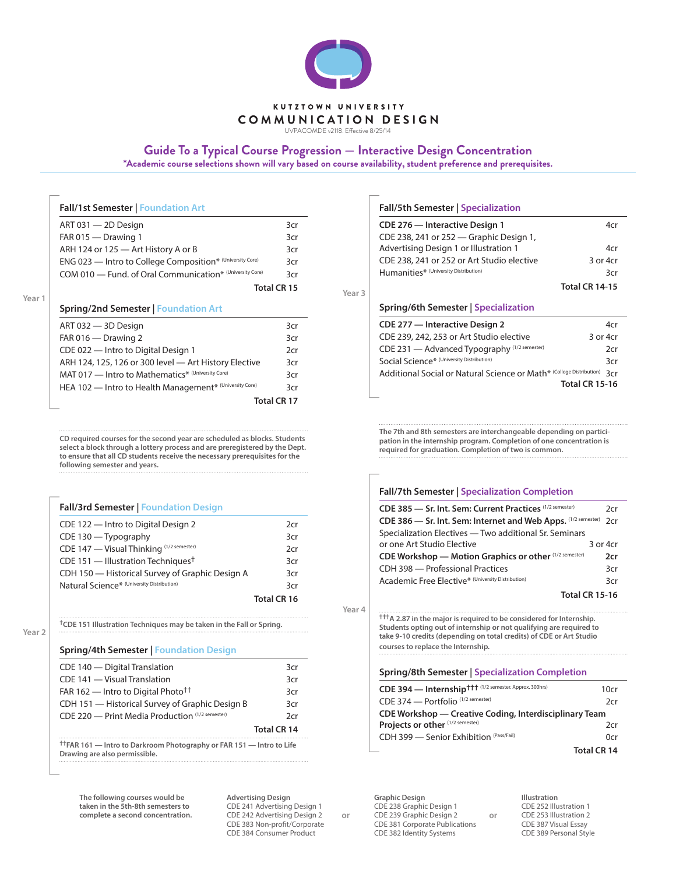

UVPACOMDE v2118. Effective 8/25/14

## **Guide To a Typical Course Progression — Interactive Design Concentration**

**\*Academic course selections shown will vary based on course availability, student preference and prerequisites.**

| ART 031 - 2D Design                                       | 3cr         |
|-----------------------------------------------------------|-------------|
| FAR 015 - Drawing 1                                       | 3cr         |
| ARH 124 or 125 - Art History A or B                       | 3cr         |
| ENG 023 - Intro to College Composition* (University Core) | 3cr         |
| COM 010 - Fund. of Oral Communication* (University Core)  | 3cr         |
|                                                           | Total CR 15 |
| <b>Spring/2nd Semester   Foundation Art</b>               |             |
|                                                           |             |

| ART 032 - 3D Design                                     | 3cr                |
|---------------------------------------------------------|--------------------|
| FAR 016 $-$ Drawing 2                                   | 3cr                |
| CDE 022 - Intro to Digital Design 1                     | 2cr                |
| ARH 124, 125, 126 or 300 level - Art History Elective   | 3cr                |
| MAT 017 - Intro to Mathematics* (University Core)       | 3cr                |
| HEA 102 - Intro to Health Management* (University Core) | 3cr                |
|                                                         | <b>Total CR 17</b> |

**CD required courses for the second year are scheduled as blocks. Students select a block through a lottery process and are preregistered by the Dept. to ensure that all CD students receive the necessary prerequisites for the following semester and years.**

#### **Fall/3rd Semester | Foundation Design**

| CDE 122 - Intro to Digital Design 2              | 2cr         |
|--------------------------------------------------|-------------|
| CDE 130 - Typography                             | 3cr         |
| CDE 147 - Visual Thinking (1/2 semester)         | 2cr         |
| CDE 151 $-$ Illustration Techniques <sup>†</sup> | 3cr         |
| CDH 150 - Historical Survey of Graphic Design A  | 3cr         |
| Natural Science* (University Distribution)       | 3cr         |
|                                                  | Total CR 16 |

**Year 2**

### **†CDE 151 Illustration Techniques may be taken in the Fall or Spring.**

#### **Spring/4th Semester | Foundation Design**

| CDE 140 - Digital Translation                                                                                    | 3cr                |
|------------------------------------------------------------------------------------------------------------------|--------------------|
| CDE 141 - Visual Translation                                                                                     | 3cr                |
| FAR 162 — Intro to Digital Photo <sup>††</sup>                                                                   | 3cr                |
| CDH 151 - Historical Survey of Graphic Design B                                                                  | 3cr                |
| CDE 220 - Print Media Production (1/2 semester)                                                                  | 2cr                |
|                                                                                                                  | <b>Total CR 14</b> |
| <sup>†</sup> FAR 161 - Intro to Darkroom Photography or FAR 151 - Intro to Life<br>Drawing are also permissible. |                    |

**The following courses would be taken in the 5th-8th semesters to complete a second concentration.** **Advertising Design** CDE 241 Advertising Design 1 CDE 242 Advertising Design 2 CDE 383 Non-profit/Corporate CDE 384 Consumer Product

**Fall/5th Semester | Specialization**

| CDE 276 - Interactive Design 1<br>CDE 238, 241 or 252 – Graphic Design 1, | 4cr                   |
|---------------------------------------------------------------------------|-----------------------|
| Advertising Design 1 or Illustration 1                                    | 4cr                   |
| CDE 238, 241 or 252 or Art Studio elective                                | 3 or 4cr              |
| Humanities* (University Distribution)                                     | 3cr                   |
|                                                                           | <b>Total CR 14-15</b> |
| Spring/6th Semester   Specialization                                      |                       |
| CDE 277 - Interactive Design 2                                            | 4cr                   |
| CDE 239, 242, 253 or Art Studio elective                                  | 3 or 4cr              |
| CDE 231 - Advanced Typography (1/2 semester)                              | 2cr                   |
| Social Science* (University Distribution)                                 | 3cr                   |
| Additional Social or Natural Science or Math* (College Distribution)      | 3cr                   |
|                                                                           | <b>Total CR 15-16</b> |
|                                                                           |                       |

**The 7th and 8th semesters are interchangeable depending on participation in the internship program. Completion of one concentration is required for graduation. Completion of two is common.**

#### **Fall/7th Semester | Specialization Completion**

| CDE 385 - Sr. Int. Sem: Current Practices (1/2 semester)      | 2cr      |
|---------------------------------------------------------------|----------|
| CDE 386 - Sr. Int. Sem: Internet and Web Apps. (1/2 semester) | 2cr      |
| Specialization Electives - Two additional Sr. Seminars        |          |
| or one Art Studio Elective                                    | 3 or 4cr |
| CDE Workshop — Motion Graphics or other (1/2 semester)        | 2cr      |
| CDH 398 - Professional Practices                              | 3cr      |
| Academic Free Elective* (University Distribution)             | 3cr      |
| <b>Total CR 15-16</b>                                         |          |

**Year 4**

**†††A 2.87 in the major is required to be considered for Internship. Students opting out of internship or not qualifying are required to take 9-10 credits (depending on total credits) of CDE or Art Studio courses to replace the Internship.** 

#### **Spring/8th Semester | Specialization Completion**

| CDE 394 - Internship <sup>+++</sup> (1/2 semester. Approx. 300hrs) | 10cr               |
|--------------------------------------------------------------------|--------------------|
| CDE 374 - Portfolio <sup>(1/2 semester)</sup>                      | 2cr                |
| CDE Workshop — Creative Coding, Interdisciplinary Team             |                    |
| Projects or other (1/2 semester)                                   | 2cr                |
| CDH 399 - Senior Exhibition (Pass/Fail)                            | 0cr                |
|                                                                    | <b>Total CR 14</b> |

**Graphic Design** CDE 238 Graphic Design 1 CDE 239 Graphic Design 2 **or or** CDE 381 Corporate Publications CDE 382 Identity Systems

**Illustration** CDE 252 Illustration 1 CDE 253 Illustration 2 CDE 387 Visual Essay CDE 389 Personal Style